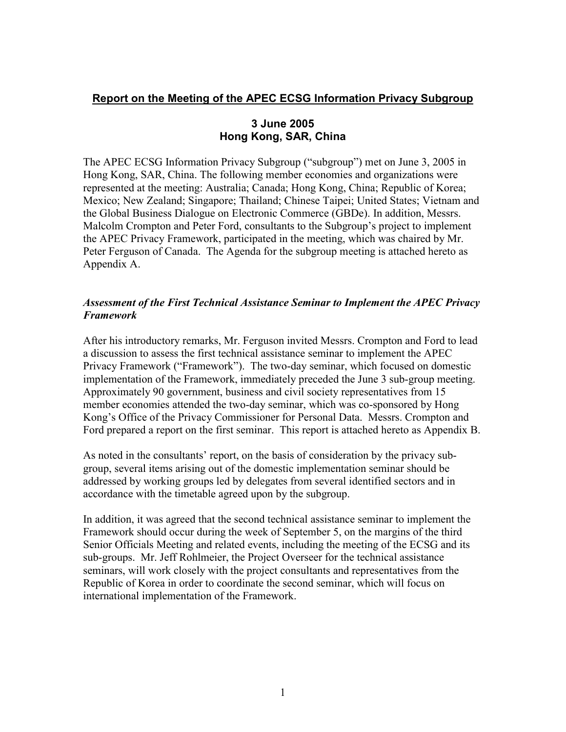### **Report on the Meeting of the APEC ECSG Information Privacy Subgroup**

### **3 June 2005 Hong Kong, SAR, China**

The APEC ECSG Information Privacy Subgroup ("subgroup") met on June 3, 2005 in Hong Kong, SAR, China. The following member economies and organizations were represented at the meeting: Australia; Canada; Hong Kong, China; Republic of Korea; Mexico; New Zealand; Singapore; Thailand; Chinese Taipei; United States; Vietnam and the Global Business Dialogue on Electronic Commerce (GBDe). In addition, Messrs. Malcolm Crompton and Peter Ford, consultants to the Subgroup's project to implement the APEC Privacy Framework, participated in the meeting, which was chaired by Mr. Peter Ferguson of Canada. The Agenda for the subgroup meeting is attached hereto as Appendix A.

### *Assessment of the First Technical Assistance Seminar to Implement the APEC Privacy Framework*

After his introductory remarks, Mr. Ferguson invited Messrs. Crompton and Ford to lead a discussion to assess the first technical assistance seminar to implement the APEC Privacy Framework ("Framework"). The two-day seminar, which focused on domestic implementation of the Framework, immediately preceded the June 3 sub-group meeting. Approximately 90 government, business and civil society representatives from 15 member economies attended the two-day seminar, which was co-sponsored by Hong Kong's Office of the Privacy Commissioner for Personal Data. Messrs. Crompton and Ford prepared a report on the first seminar. This report is attached hereto as Appendix B.

As noted in the consultants' report, on the basis of consideration by the privacy subgroup, several items arising out of the domestic implementation seminar should be addressed by working groups led by delegates from several identified sectors and in accordance with the timetable agreed upon by the subgroup.

In addition, it was agreed that the second technical assistance seminar to implement the Framework should occur during the week of September 5, on the margins of the third Senior Officials Meeting and related events, including the meeting of the ECSG and its sub-groups. Mr. Jeff Rohlmeier, the Project Overseer for the technical assistance seminars, will work closely with the project consultants and representatives from the Republic of Korea in order to coordinate the second seminar, which will focus on international implementation of the Framework.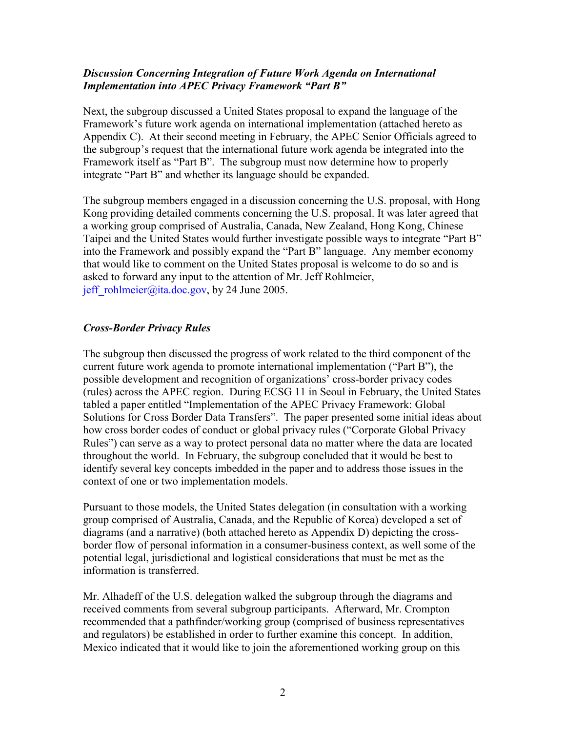### *Discussion Concerning Integration of Future Work Agenda on International Implementation into APEC Privacy Framework "Part B"*

Next, the subgroup discussed a United States proposal to expand the language of the Framework's future work agenda on international implementation (attached hereto as Appendix C). At their second meeting in February, the APEC Senior Officials agreed to the subgroup's request that the international future work agenda be integrated into the Framework itself as "Part B". The subgroup must now determine how to properly integrate "Part B" and whether its language should be expanded.

The subgroup members engaged in a discussion concerning the U.S. proposal, with Hong Kong providing detailed comments concerning the U.S. proposal. It was later agreed that a working group comprised of Australia, Canada, New Zealand, Hong Kong, Chinese Taipei and the United States would further investigate possible ways to integrate "Part B" into the Framework and possibly expand the "Part B" language. Any member economy that would like to comment on the United States proposal is welcome to do so and is asked to forward any input to the attention of Mr. Jeff Rohlmeier, jeff rohlmeier@ita.doc.gov, by 24 June 2005.

#### *Cross-Border Privacy Rules*

The subgroup then discussed the progress of work related to the third component of the current future work agenda to promote international implementation ("Part B"), the possible development and recognition of organizations' cross-border privacy codes (rules) across the APEC region. During ECSG 11 in Seoul in February, the United States tabled a paper entitled "Implementation of the APEC Privacy Framework: Global Solutions for Cross Border Data Transfers". The paper presented some initial ideas about how cross border codes of conduct or global privacy rules ("Corporate Global Privacy Rules") can serve as a way to protect personal data no matter where the data are located throughout the world. In February, the subgroup concluded that it would be best to identify several key concepts imbedded in the paper and to address those issues in the context of one or two implementation models.

Pursuant to those models, the United States delegation (in consultation with a working group comprised of Australia, Canada, and the Republic of Korea) developed a set of diagrams (and a narrative) (both attached hereto as Appendix D) depicting the crossborder flow of personal information in a consumer-business context, as well some of the potential legal, jurisdictional and logistical considerations that must be met as the information is transferred.

Mr. Alhadeff of the U.S. delegation walked the subgroup through the diagrams and received comments from several subgroup participants. Afterward, Mr. Crompton recommended that a pathfinder/working group (comprised of business representatives and regulators) be established in order to further examine this concept. In addition, Mexico indicated that it would like to join the aforementioned working group on this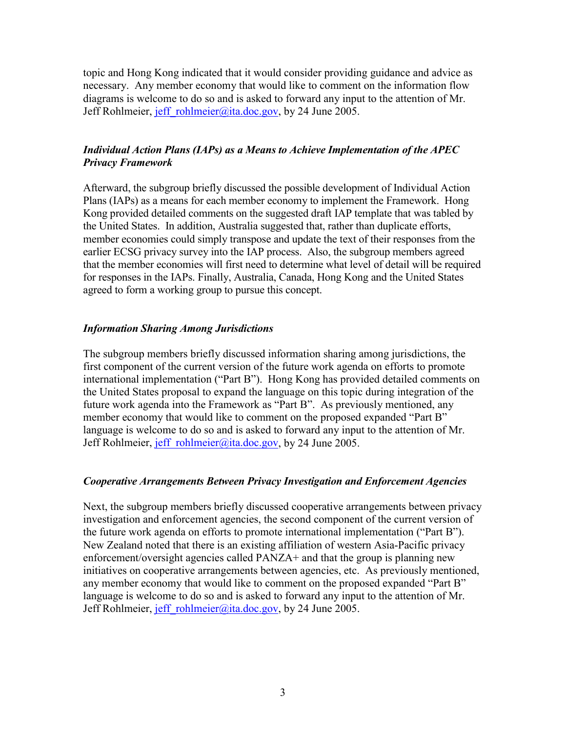topic and Hong Kong indicated that it would consider providing guidance and advice as necessary. Any member economy that would like to comment on the information flow diagrams is welcome to do so and is asked to forward any input to the attention of Mr. Jeff Rohlmeier, jeff rohlmeier@ita.doc.gov, by 24 June 2005.

### *Individual Action Plans (IAPs) as a Means to Achieve Implementation of the APEC Privacy Framework*

Afterward, the subgroup briefly discussed the possible development of Individual Action Plans (IAPs) as a means for each member economy to implement the Framework. Hong Kong provided detailed comments on the suggested draft IAP template that was tabled by the United States. In addition, Australia suggested that, rather than duplicate efforts, member economies could simply transpose and update the text of their responses from the earlier ECSG privacy survey into the IAP process. Also, the subgroup members agreed that the member economies will first need to determine what level of detail will be required for responses in the IAPs. Finally, Australia, Canada, Hong Kong and the United States agreed to form a working group to pursue this concept.

#### *Information Sharing Among Jurisdictions*

The subgroup members briefly discussed information sharing among jurisdictions, the first component of the current version of the future work agenda on efforts to promote international implementation ("Part B"). Hong Kong has provided detailed comments on the United States proposal to expand the language on this topic during integration of the future work agenda into the Framework as "Part B".As previously mentioned, any member economy that would like to comment on the proposed expanded "Part B" language is welcome to do so and is asked to forward any input to the attention of Mr. Jeff Rohlmeier, jeff rohlmeier@ita.doc.gov, by 24 June 2005.

#### *Cooperative Arrangements Between Privacy Investigation and Enforcement Agencies*

Next, the subgroup members briefly discussed cooperative arrangements between privacy investigation and enforcement agencies, the second component of the current version of the future work agenda on efforts to promote international implementation ("Part B"). New Zealand noted that there is an existing affiliation of western Asia-Pacific privacy enforcement/oversight agencies called PANZA+ and that the group is planning new initiatives on cooperative arrangements between agencies, etc. As previously mentioned, any member economy that would like to comment on the proposed expanded "Part B" language is welcome to do so and is asked to forward any input to the attention of Mr. Jeff Rohlmeier, jeff rohlmeier@ita.doc.gov, by 24 June 2005.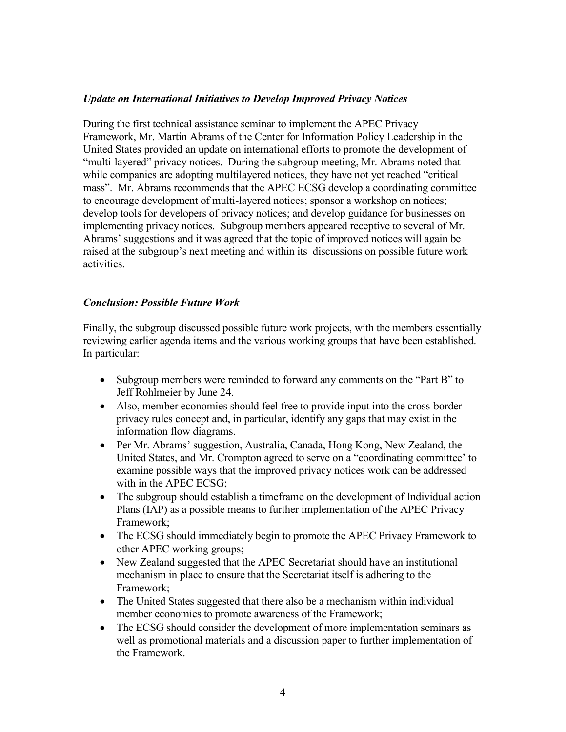#### *Update on International Initiatives to Develop Improved Privacy Notices*

During the first technical assistance seminar to implement the APEC Privacy Framework, Mr. Martin Abrams of the Center for Information Policy Leadership in the United States provided an update on international efforts to promote the development of "multi-layered" privacy notices. During the subgroup meeting, Mr. Abrams noted that while companies are adopting multilayered notices, they have not yet reached "critical mass". Mr. Abrams recommends that the APEC ECSG develop a coordinating committee to encourage development of multi-layered notices; sponsor a workshop on notices; develop tools for developers of privacy notices; and develop guidance for businesses on implementing privacy notices. Subgroup members appeared receptive to several of Mr. Abrams' suggestions and it was agreed that the topic of improved notices will again be raised at the subgroup's next meeting and within its discussions on possible future work activities.

#### *Conclusion: Possible Future Work*

Finally, the subgroup discussed possible future work projects, with the members essentially reviewing earlier agenda items and the various working groups that have been established. In particular:

- Subgroup members were reminded to forward any comments on the "Part B" to Jeff Rohlmeier by June 24.
- Also, member economies should feel free to provide input into the cross-border privacy rules concept and, in particular, identify any gaps that may exist in the information flow diagrams.
- Per Mr. Abrams' suggestion, Australia, Canada, Hong Kong, New Zealand, the United States, and Mr. Crompton agreed to serve on a "coordinating committee' to examine possible ways that the improved privacy notices work can be addressed with in the APEC ECSG;
- The subgroup should establish a time frame on the development of Individual action Plans (IAP) as a possible means to further implementation of the APEC Privacy Framework;
- The ECSG should immediately begin to promote the APEC Privacy Framework to other APEC working groups;
- New Zealand suggested that the APEC Secretariat should have an institutional mechanism in place to ensure that the Secretariat itself is adhering to the Framework;
- The United States suggested that there also be a mechanism within individual member economies to promote awareness of the Framework;
- The ECSG should consider the development of more implementation seminars as well as promotional materials and a discussion paper to further implementation of the Framework.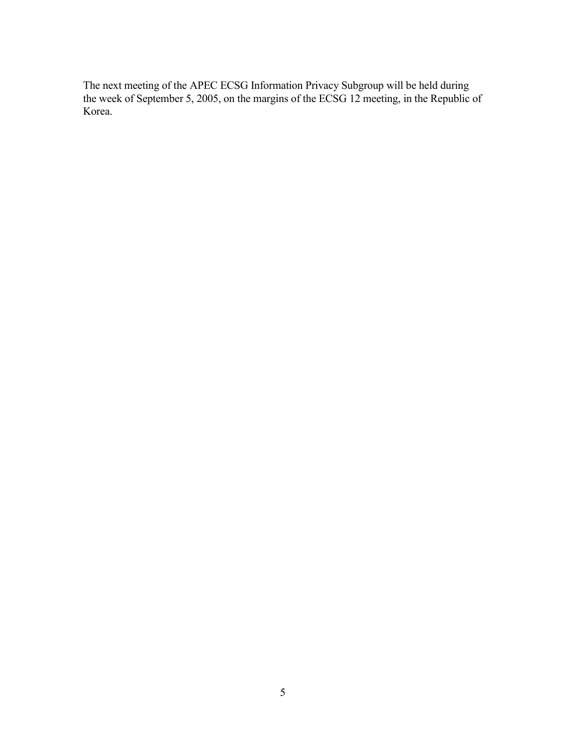The next meeting of the APEC ECSG Information Privacy Subgroup will be held during the week of September 5, 2005, on the margins of the ECSG 12 meeting, in the Republic of Korea.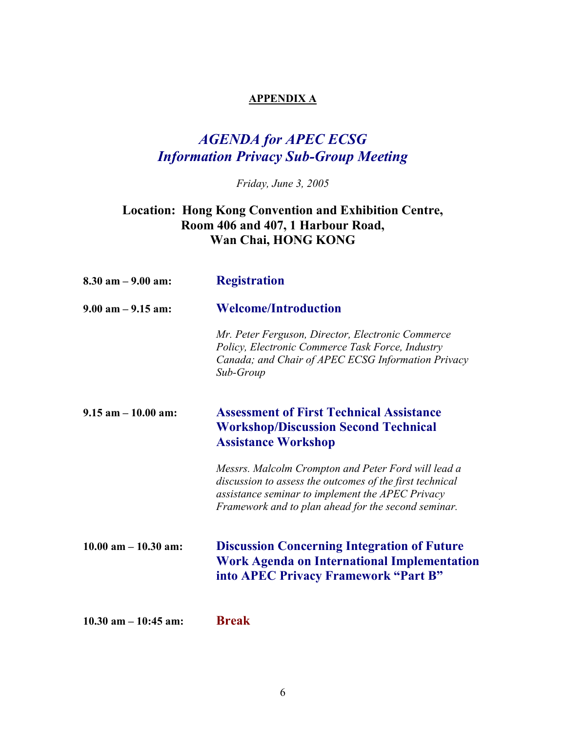## **APPENDIX A**

# *AGENDA for APEC ECSG Information Privacy Sub-Group Meeting*

*Friday, June 3, 2005* 

## **Location: Hong Kong Convention and Exhibition Centre, Room 406 and 407, 1 Harbour Road, Wan Chai, HONG KONG**

| $8.30$ am $-9.00$ am:    | <b>Registration</b>                                                                                                                                                                                                        |
|--------------------------|----------------------------------------------------------------------------------------------------------------------------------------------------------------------------------------------------------------------------|
| $9.00$ am $-9.15$ am:    | <b>Welcome/Introduction</b>                                                                                                                                                                                                |
|                          | Mr. Peter Ferguson, Director, Electronic Commerce<br>Policy, Electronic Commerce Task Force, Industry<br>Canada; and Chair of APEC ECSG Information Privacy<br>Sub-Group                                                   |
| $9.15$ am $-10.00$ am:   | <b>Assessment of First Technical Assistance</b><br><b>Workshop/Discussion Second Technical</b><br><b>Assistance Workshop</b>                                                                                               |
|                          | Messrs. Malcolm Crompton and Peter Ford will lead a<br>discussion to assess the outcomes of the first technical<br>assistance seminar to implement the APEC Privacy<br>Framework and to plan ahead for the second seminar. |
| $10.00$ am $- 10.30$ am: | <b>Discussion Concerning Integration of Future</b><br><b>Work Agenda on International Implementation</b><br>into APEC Privacy Framework "Part B"                                                                           |
| $10.30$ am $- 10:45$ am: | <b>Break</b>                                                                                                                                                                                                               |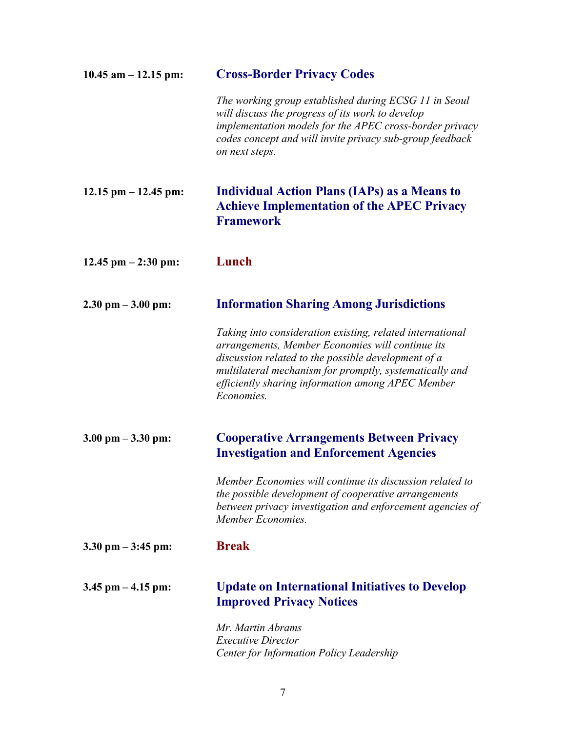| $10.45$ am $- 12.15$ pm: | <b>Cross-Border Privacy Codes</b>                                                                                                                                                                                                                                                                  |
|--------------------------|----------------------------------------------------------------------------------------------------------------------------------------------------------------------------------------------------------------------------------------------------------------------------------------------------|
|                          | The working group established during ECSG 11 in Seoul<br>will discuss the progress of its work to develop<br>implementation models for the APEC cross-border privacy<br>codes concept and will invite privacy sub-group feedback<br>on next steps.                                                 |
| $12.15$ pm $- 12.45$ pm: | <b>Individual Action Plans (IAPs) as a Means to</b><br><b>Achieve Implementation of the APEC Privacy</b><br><b>Framework</b>                                                                                                                                                                       |
| $12.45$ pm $- 2:30$ pm:  | Lunch                                                                                                                                                                                                                                                                                              |
| $2.30$ pm $-3.00$ pm:    | <b>Information Sharing Among Jurisdictions</b>                                                                                                                                                                                                                                                     |
|                          | Taking into consideration existing, related international<br>arrangements, Member Economies will continue its<br>discussion related to the possible development of a<br>multilateral mechanism for promptly, systematically and<br>efficiently sharing information among APEC Member<br>Economies. |
| $3.00$ pm $-3.30$ pm:    | <b>Cooperative Arrangements Between Privacy</b><br><b>Investigation and Enforcement Agencies</b>                                                                                                                                                                                                   |
|                          | Member Economies will continue its discussion related to<br>the possible development of cooperative arrangements<br>between privacy investigation and enforcement agencies of<br>Member Economies.                                                                                                 |
| $3.30$ pm $-3:45$ pm:    | <b>Break</b>                                                                                                                                                                                                                                                                                       |
| $3.45$ pm $-4.15$ pm:    | <b>Update on International Initiatives to Develop</b><br><b>Improved Privacy Notices</b>                                                                                                                                                                                                           |
|                          | Mr. Martin Abrams<br><b>Executive Director</b><br>Center for Information Policy Leadership                                                                                                                                                                                                         |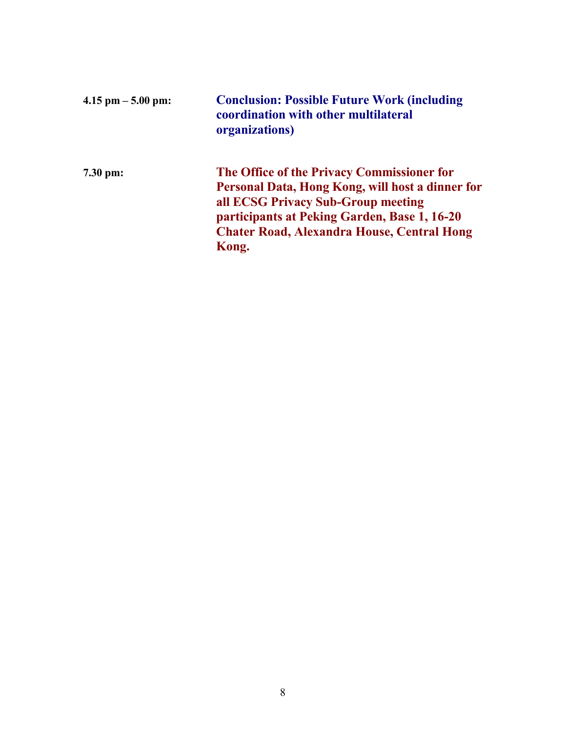| $4.15$ pm $-5.00$ pm: | <b>Conclusion: Possible Future Work (including</b><br>coordination with other multilateral<br>organizations)                                                                                                                                       |
|-----------------------|----------------------------------------------------------------------------------------------------------------------------------------------------------------------------------------------------------------------------------------------------|
| 7.30 pm:              | The Office of the Privacy Commissioner for<br>Personal Data, Hong Kong, will host a dinner for<br>all ECSG Privacy Sub-Group meeting<br>participants at Peking Garden, Base 1, 16-20<br><b>Chater Road, Alexandra House, Central Hong</b><br>Kong. |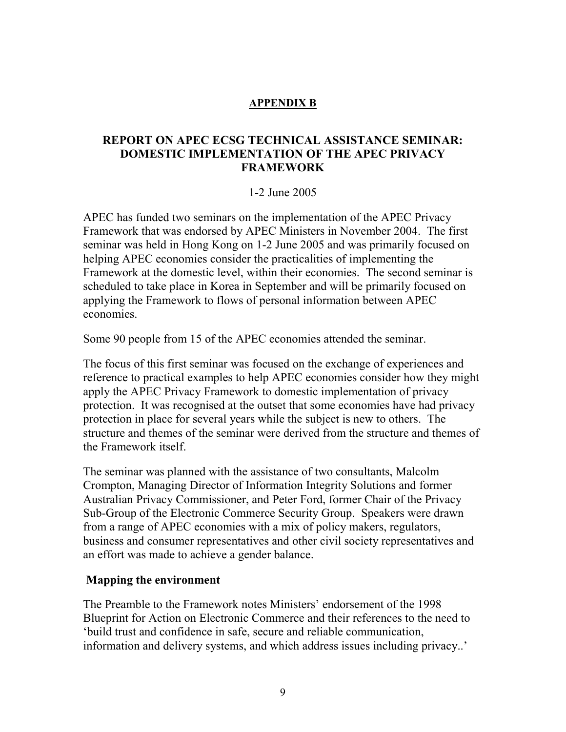### **APPENDIX B**

## **REPORT ON APEC ECSG TECHNICAL ASSISTANCE SEMINAR: DOMESTIC IMPLEMENTATION OF THE APEC PRIVACY FRAMEWORK**

### 1-2 June 2005

APEC has funded two seminars on the implementation of the APEC Privacy Framework that was endorsed by APEC Ministers in November 2004. The first seminar was held in Hong Kong on 1-2 June 2005 and was primarily focused on helping APEC economies consider the practicalities of implementing the Framework at the domestic level, within their economies. The second seminar is scheduled to take place in Korea in September and will be primarily focused on applying the Framework to flows of personal information between APEC economies.

Some 90 people from 15 of the APEC economies attended the seminar.

The focus of this first seminar was focused on the exchange of experiences and reference to practical examples to help APEC economies consider how they might apply the APEC Privacy Framework to domestic implementation of privacy protection. It was recognised at the outset that some economies have had privacy protection in place for several years while the subject is new to others. The structure and themes of the seminar were derived from the structure and themes of the Framework itself.

The seminar was planned with the assistance of two consultants, Malcolm Crompton, Managing Director of Information Integrity Solutions and former Australian Privacy Commissioner, and Peter Ford, former Chair of the Privacy Sub-Group of the Electronic Commerce Security Group. Speakers were drawn from a range of APEC economies with a mix of policy makers, regulators, business and consumer representatives and other civil society representatives and an effort was made to achieve a gender balance.

## **Mapping the environment**

The Preamble to the Framework notes Ministers' endorsement of the 1998 Blueprint for Action on Electronic Commerce and their references to the need to 'build trust and confidence in safe, secure and reliable communication, information and delivery systems, and which address issues including privacy..'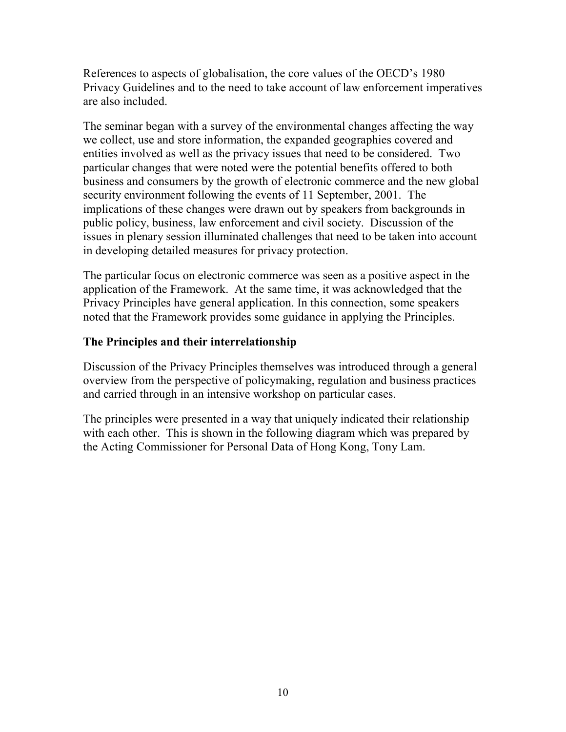References to aspects of globalisation, the core values of the OECD's 1980 Privacy Guidelines and to the need to take account of law enforcement imperatives are also included.

The seminar began with a survey of the environmental changes affecting the way we collect, use and store information, the expanded geographies covered and entities involved as well as the privacy issues that need to be considered. Two particular changes that were noted were the potential benefits offered to both business and consumers by the growth of electronic commerce and the new global security environment following the events of 11 September, 2001. The implications of these changes were drawn out by speakers from backgrounds in public policy, business, law enforcement and civil society. Discussion of the issues in plenary session illuminated challenges that need to be taken into account in developing detailed measures for privacy protection.

The particular focus on electronic commerce was seen as a positive aspect in the application of the Framework. At the same time, it was acknowledged that the Privacy Principles have general application. In this connection, some speakers noted that the Framework provides some guidance in applying the Principles.

## **The Principles and their interrelationship**

Discussion of the Privacy Principles themselves was introduced through a general overview from the perspective of policymaking, regulation and business practices and carried through in an intensive workshop on particular cases.

The principles were presented in a way that uniquely indicated their relationship with each other. This is shown in the following diagram which was prepared by the Acting Commissioner for Personal Data of Hong Kong, Tony Lam.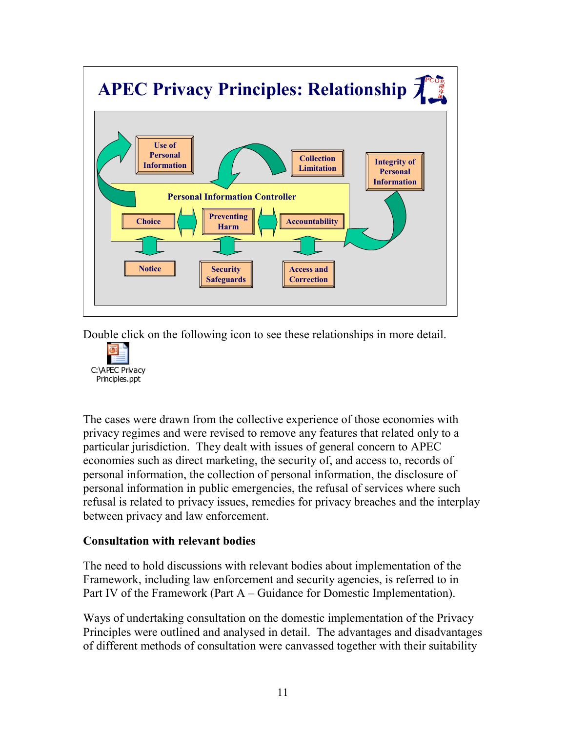

Double click on the following icon to see these relationships in more detail.



The cases were drawn from the collective experience of those economies with privacy regimes and were revised to remove any features that related only to a particular jurisdiction. They dealt with issues of general concern to APEC economies such as direct marketing, the security of, and access to, records of personal information, the collection of personal information, the disclosure of personal information in public emergencies, the refusal of services where such refusal is related to privacy issues, remedies for privacy breaches and the interplay between privacy and law enforcement.

## **Consultation with relevant bodies**

The need to hold discussions with relevant bodies about implementation of the Framework, including law enforcement and security agencies, is referred to in Part IV of the Framework (Part A – Guidance for Domestic Implementation).

Ways of undertaking consultation on the domestic implementation of the Privacy Principles were outlined and analysed in detail. The advantages and disadvantages of different methods of consultation were canvassed together with their suitability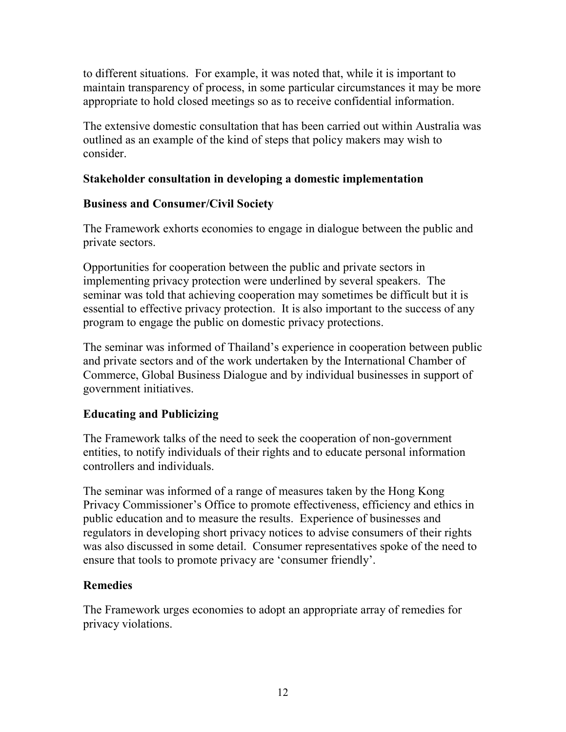to different situations. For example, it was noted that, while it is important to maintain transparency of process, in some particular circumstances it may be more appropriate to hold closed meetings so as to receive confidential information.

The extensive domestic consultation that has been carried out within Australia was outlined as an example of the kind of steps that policy makers may wish to consider.

## **Stakeholder consultation in developing a domestic implementation**

## **Business and Consumer/Civil Society**

The Framework exhorts economies to engage in dialogue between the public and private sectors.

Opportunities for cooperation between the public and private sectors in implementing privacy protection were underlined by several speakers. The seminar was told that achieving cooperation may sometimes be difficult but it is essential to effective privacy protection. It is also important to the success of any program to engage the public on domestic privacy protections.

The seminar was informed of Thailand's experience in cooperation between public and private sectors and of the work undertaken by the International Chamber of Commerce, Global Business Dialogue and by individual businesses in support of government initiatives.

## **Educating and Publicizing**

The Framework talks of the need to seek the cooperation of non-government entities, to notify individuals of their rights and to educate personal information controllers and individuals.

The seminar was informed of a range of measures taken by the Hong Kong Privacy Commissioner's Office to promote effectiveness, efficiency and ethics in public education and to measure the results. Experience of businesses and regulators in developing short privacy notices to advise consumers of their rights was also discussed in some detail. Consumer representatives spoke of the need to ensure that tools to promote privacy are 'consumer friendly'.

## **Remedies**

The Framework urges economies to adopt an appropriate array of remedies for privacy violations.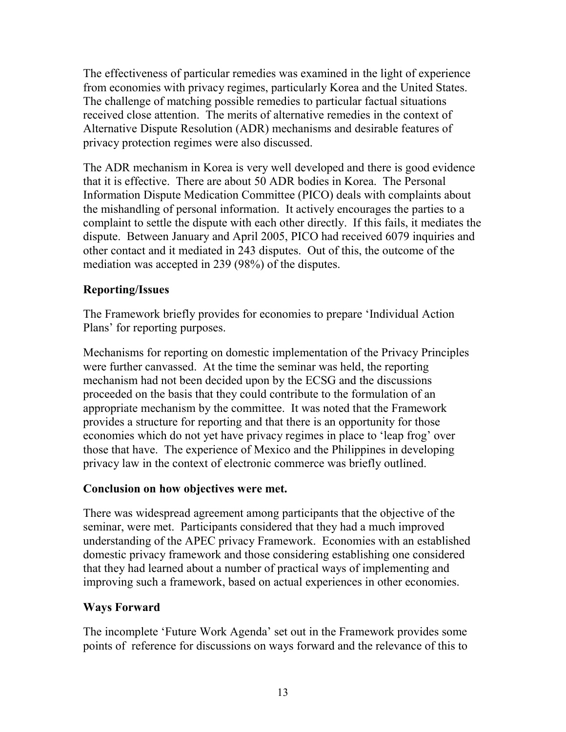The effectiveness of particular remedies was examined in the light of experience from economies with privacy regimes, particularly Korea and the United States. The challenge of matching possible remedies to particular factual situations received close attention. The merits of alternative remedies in the context of Alternative Dispute Resolution (ADR) mechanisms and desirable features of privacy protection regimes were also discussed.

The ADR mechanism in Korea is very well developed and there is good evidence that it is effective. There are about 50 ADR bodies in Korea. The Personal Information Dispute Medication Committee (PICO) deals with complaints about the mishandling of personal information. It actively encourages the parties to a complaint to settle the dispute with each other directly. If this fails, it mediates the dispute. Between January and April 2005, PICO had received 6079 inquiries and other contact and it mediated in 243 disputes. Out of this, the outcome of the mediation was accepted in 239 (98%) of the disputes.

## **Reporting/Issues**

The Framework briefly provides for economies to prepare 'Individual Action Plans' for reporting purposes.

Mechanisms for reporting on domestic implementation of the Privacy Principles were further canvassed. At the time the seminar was held, the reporting mechanism had not been decided upon by the ECSG and the discussions proceeded on the basis that they could contribute to the formulation of an appropriate mechanism by the committee. It was noted that the Framework provides a structure for reporting and that there is an opportunity for those economies which do not yet have privacy regimes in place to 'leap frog' over those that have. The experience of Mexico and the Philippines in developing privacy law in the context of electronic commerce was briefly outlined.

## **Conclusion on how objectives were met.**

There was widespread agreement among participants that the objective of the seminar, were met. Participants considered that they had a much improved understanding of the APEC privacy Framework. Economies with an established domestic privacy framework and those considering establishing one considered that they had learned about a number of practical ways of implementing and improving such a framework, based on actual experiences in other economies.

## **Ways Forward**

The incomplete 'Future Work Agenda' set out in the Framework provides some points of reference for discussions on ways forward and the relevance of this to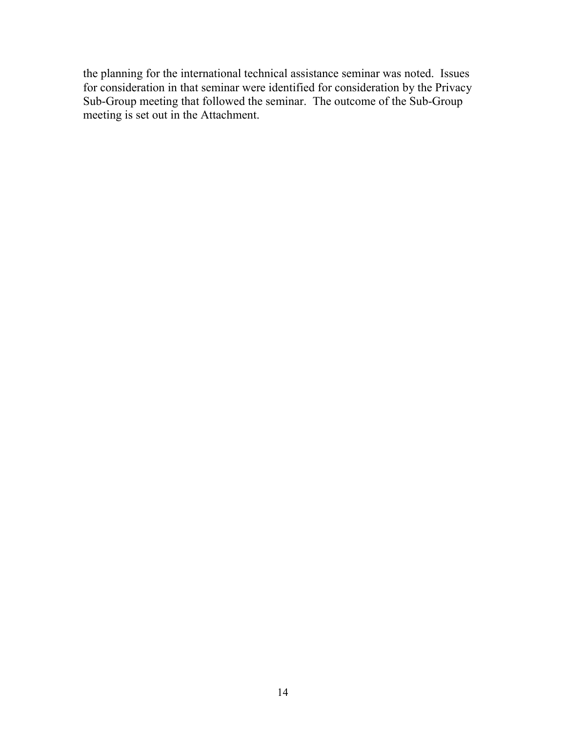the planning for the international technical assistance seminar was noted. Issues for consideration in that seminar were identified for consideration by the Privacy Sub-Group meeting that followed the seminar. The outcome of the Sub-Group meeting is set out in the Attachment.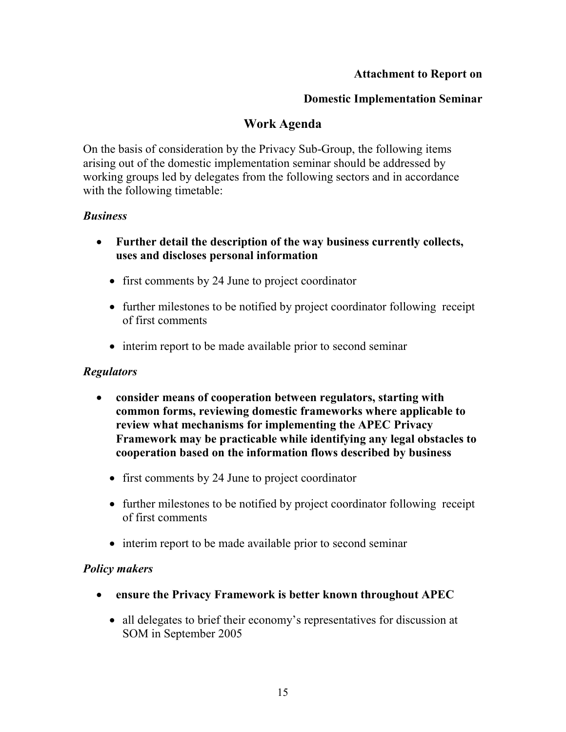### **Attachment to Report on**

### **Domestic Implementation Seminar**

## **Work Agenda**

On the basis of consideration by the Privacy Sub-Group, the following items arising out of the domestic implementation seminar should be addressed by working groups led by delegates from the following sectors and in accordance with the following timetable:

## *Business*

- **Further detail the description of the way business currently collects, uses and discloses personal information** 
	- first comments by 24 June to project coordinator
	- further milestones to be notified by project coordinator following receipt of first comments
	- interim report to be made available prior to second seminar

## *Regulators*

- **consider means of cooperation between regulators, starting with common forms, reviewing domestic frameworks where applicable to review what mechanisms for implementing the APEC Privacy Framework may be practicable while identifying any legal obstacles to cooperation based on the information flows described by business** 
	- first comments by 24 June to project coordinator
	- further milestones to be notified by project coordinator following receipt of first comments
	- interim report to be made available prior to second seminar

## *Policy makers*

- **ensure the Privacy Framework is better known throughout APEC** 
	- all delegates to brief their economy's representatives for discussion at SOM in September 2005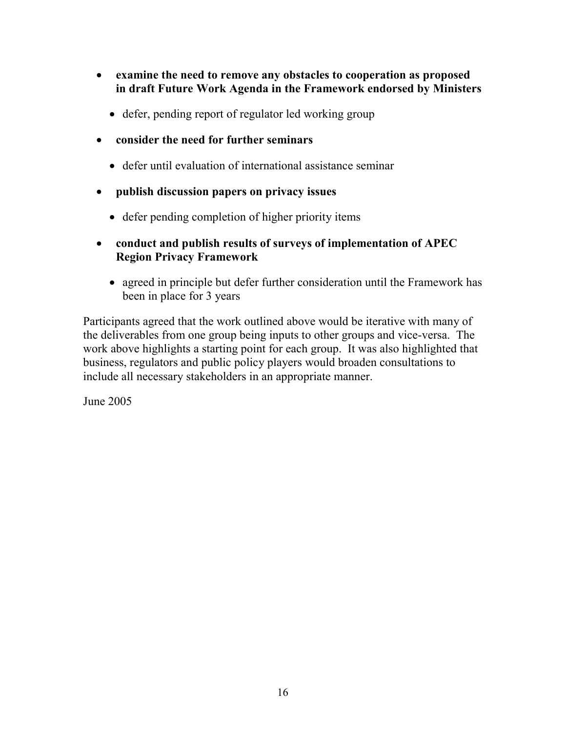- **examine the need to remove any obstacles to cooperation as proposed in draft Future Work Agenda in the Framework endorsed by Ministers** 
	- defer, pending report of regulator led working group
- **consider the need for further seminars** 
	- defer until evaluation of international assistance seminar
- **publish discussion papers on privacy issues** 
	- defer pending completion of higher priority items
- **conduct and publish results of surveys of implementation of APEC Region Privacy Framework** 
	- agreed in principle but defer further consideration until the Framework has been in place for 3 years

Participants agreed that the work outlined above would be iterative with many of the deliverables from one group being inputs to other groups and vice-versa. The work above highlights a starting point for each group. It was also highlighted that business, regulators and public policy players would broaden consultations to include all necessary stakeholders in an appropriate manner.

June 2005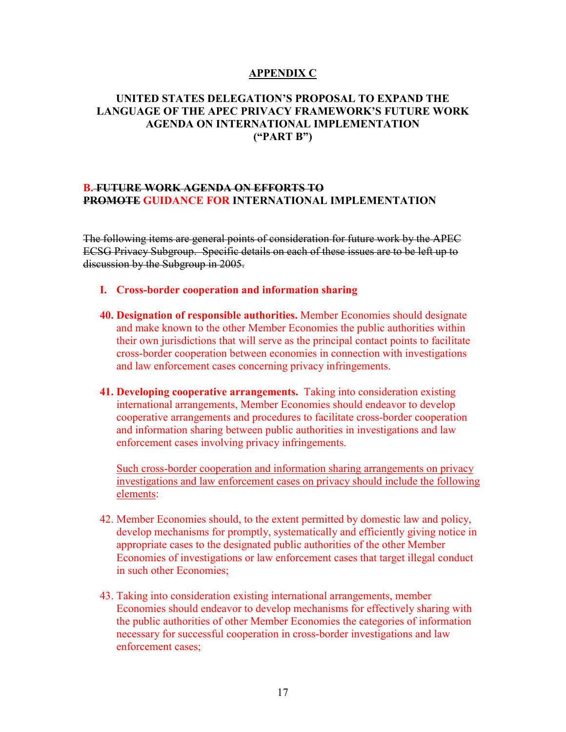#### **APPENDIX C**

### **UNITED STATES DELEGATION'S PROPOSAL TO EXPAND THE LANGUAGE OF THE APEC PRIVACY FRAMEWORK'S FUTURE WORK AGENDA ON INTERNATIONAL IMPLEMENTATION ("PART B")**

#### **B. FUTURE WORK AGENDA ON EFFORTS TO PROMOTE GUIDANCE FOR INTERNATIONAL IMPLEMENTATION**

The following items are general points of consideration for future work by the APEC ECSG Privacy Subgroup. Specific details on each of these issues are to be left up to discussion by the Subgroup in 2005.

- **I. Cross-border cooperation and information sharing**
- **40. Designation of responsible authorities.** Member Economies should designate and make known to the other Member Economies the public authorities within their own jurisdictions that will serve as the principal contact points to facilitate cross-border cooperation between economies in connection with investigations and law enforcement cases concerning privacy infringements.
- **41. Developing cooperative arrangements.** Taking into consideration existing international arrangements, Member Economies should endeavor to develop cooperative arrangements and procedures to facilitate cross-border cooperation and information sharing between public authorities in investigations and law enforcement cases involving privacy infringements.

Such cross-border cooperation and information sharing arrangements on privacy investigations and law enforcement cases on privacy should include the following elements:

- 42. Member Economies should, to the extent permitted by domestic law and policy, develop mechanisms for promptly, systematically and efficiently giving notice in appropriate cases to the designated public authorities of the other Member Economies of investigations or law enforcement cases that target illegal conduct in such other Economies;
- 43. Taking into consideration existing international arrangements, member Economies should endeavor to develop mechanisms for effectively sharing with the public authorities of other Member Economies the categories of information necessary for successful cooperation in cross-border investigations and law enforcement cases;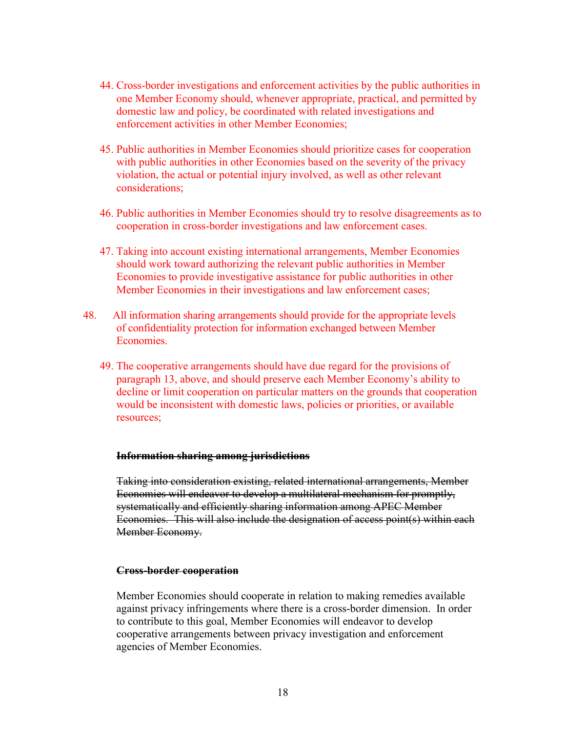- 44. Cross-border investigations and enforcement activities by the public authorities in one Member Economy should, whenever appropriate, practical, and permitted by domestic law and policy, be coordinated with related investigations and enforcement activities in other Member Economies;
- 45. Public authorities in Member Economies should prioritize cases for cooperation with public authorities in other Economies based on the severity of the privacy violation, the actual or potential injury involved, as well as other relevant considerations;
- 46. Public authorities in Member Economies should try to resolve disagreements as to cooperation in cross-border investigations and law enforcement cases.
- 47. Taking into account existing international arrangements, Member Economies should work toward authorizing the relevant public authorities in Member Economies to provide investigative assistance for public authorities in other Member Economies in their investigations and law enforcement cases;
- 48. All information sharing arrangements should provide for the appropriate levels of confidentiality protection for information exchanged between Member Economies.
	- 49. The cooperative arrangements should have due regard for the provisions of paragraph 13, above, and should preserve each Member Economy's ability to decline or limit cooperation on particular matters on the grounds that cooperation would be inconsistent with domestic laws, policies or priorities, or available resources;

#### **Information sharing among jurisdictions**

Taking into consideration existing, related international arrangements, Member Economies will endeavor to develop a multilateral mechanism for promptly, systematically and efficiently sharing information among APEC Member Economies. This will also include the designation of access point(s) within each Member Economy.

#### **Cross-border cooperation**

Member Economies should cooperate in relation to making remedies available against privacy infringements where there is a cross-border dimension. In order to contribute to this goal, Member Economies will endeavor to develop cooperative arrangements between privacy investigation and enforcement agencies of Member Economies.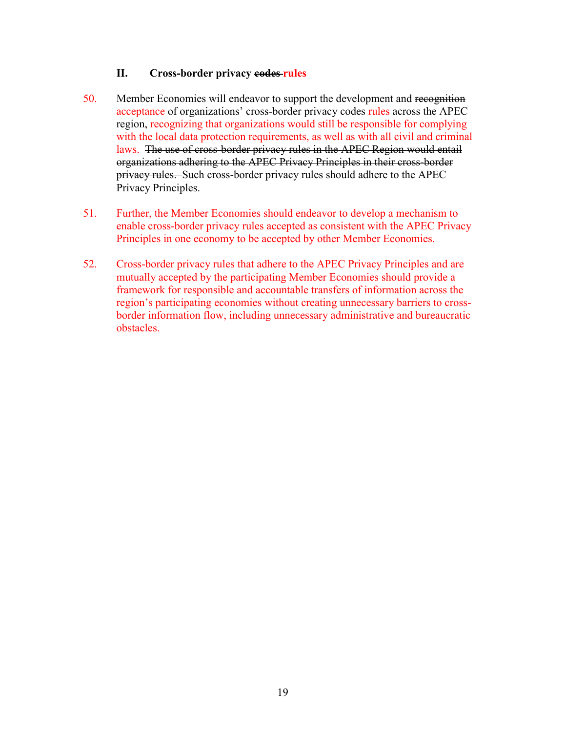#### **II. Cross-border privacy codes rules**

- 50. Member Economies will endeavor to support the development and recognition acceptance of organizations' cross-border privacy eodes rules across the APEC region, recognizing that organizations would still be responsible for complying with the local data protection requirements, as well as with all civil and criminal laws. The use of cross-border privacy rules in the APEC Region would entail organizations adhering to the APEC Privacy Principles in their cross-border privacy rules. Such cross-border privacy rules should adhere to the APEC Privacy Principles.
- 51. Further, the Member Economies should endeavor to develop a mechanism to enable cross-border privacy rules accepted as consistent with the APEC Privacy Principles in one economy to be accepted by other Member Economies.
- 52. Cross-border privacy rules that adhere to the APEC Privacy Principles and are mutually accepted by the participating Member Economies should provide a framework for responsible and accountable transfers of information across the region's participating economies without creating unnecessary barriers to crossborder information flow, including unnecessary administrative and bureaucratic obstacles.